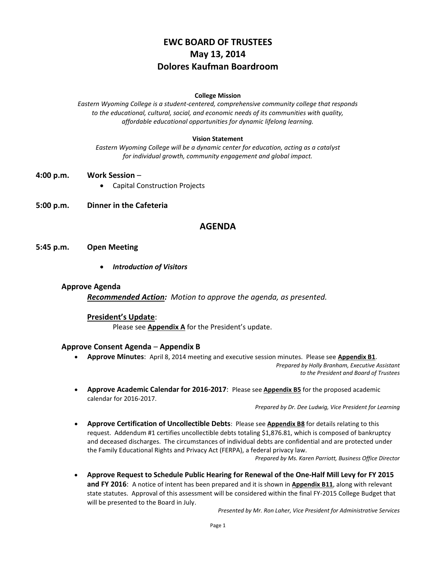# **EWC BOARD OF TRUSTEES May 13, 2014 Dolores Kaufman Boardroom**

### **College Mission**

*Eastern Wyoming College is a student-centered, comprehensive community college that responds to the educational, cultural, social, and economic needs of its communities with quality, affordable educational opportunities for dynamic lifelong learning.*

### **Vision Statement**

*Eastern Wyoming College will be a dynamic center for education, acting as a catalyst for individual growth, community engagement and global impact.*

- **4:00 p.m. Work Session**
	- Capital Construction Projects
- **5:00 p.m. Dinner in the Cafeteria**

# **AGENDA**

- **5:45 p.m. Open Meeting**
	- *Introduction of Visitors*

#### **Approve Agenda**

*Recommended Action: Motion to approve the agenda, as presented.*

### **President's Update**:

Please see **Appendix A** for the President's update.

#### **Approve Consent Agenda** – **Appendix B**

- **Approve Minutes**: April 8, 2014 meeting and executive session minutes. Please see **Appendix B1**. *Prepared by Holly Branham, Executive Assistant to the President and Board of Trustees*
- **Approve Academic Calendar for 2016-2017**: Please see **Appendix B5** for the proposed academic calendar for 2016-2017.

*Prepared by Dr. Dee Ludwig, Vice President for Learning*

 **Approve Certification of Uncollectible Debts**: Please see **Appendix B8** for details relating to this request. Addendum #1 certifies uncollectible debts totaling \$1,876.81, which is composed of bankruptcy and deceased discharges. The circumstances of individual debts are confidential and are protected under the Family Educational Rights and Privacy Act (FERPA), a federal privacy law.

*Prepared by Ms. Karen Parriott, Business Office Director*

 **Approve Request to Schedule Public Hearing for Renewal of the One-Half Mill Levy for FY 2015 and FY 2016**: A notice of intent has been prepared and it is shown in **Appendix B11**, along with relevant state statutes. Approval of this assessment will be considered within the final FY-2015 College Budget that will be presented to the Board in July.

*Presented by Mr. Ron Laher, Vice President for Administrative Services*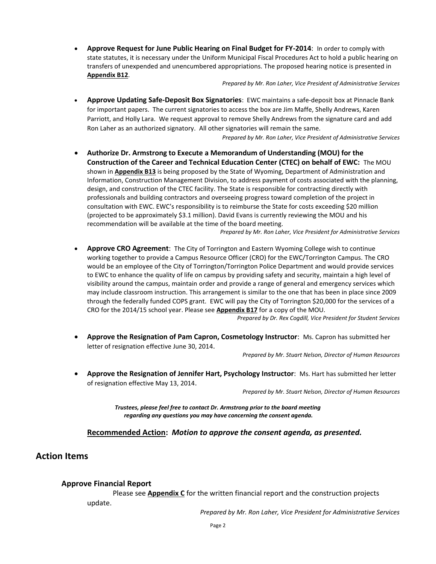**Approve Request for June Public Hearing on Final Budget for FY-2014**: In order to comply with state statutes, it is necessary under the Uniform Municipal Fiscal Procedures Act to hold a public hearing on transfers of unexpended and unencumbered appropriations. The proposed hearing notice is presented in **Appendix B12**.

*Prepared by Mr. Ron Laher, Vice President of Administrative Services*

 **Approve Updating Safe-Deposit Box Signatories**: EWC maintains a safe-deposit box at Pinnacle Bank for important papers. The current signatories to access the box are Jim Maffe, Shelly Andrews, Karen Parriott, and Holly Lara. We request approval to remove Shelly Andrews from the signature card and add Ron Laher as an authorized signatory. All other signatories will remain the same.

*Prepared by Mr. Ron Laher, Vice President of Administrative Services*

 **Authorize Dr. Armstrong to Execute a Memorandum of Understanding (MOU) for the Construction of the Career and Technical Education Center (CTEC) on behalf of EWC:** The MOU shown in **Appendix B13** is being proposed by the State of Wyoming, Department of Administration and Information, Construction Management Division, to address payment of costs associated with the planning, design, and construction of the CTEC facility. The State is responsible for contracting directly with professionals and building contractors and overseeing progress toward completion of the project in consultation with EWC. EWC's responsibility is to reimburse the State for costs exceeding \$20 million (projected to be approximately \$3.1 million). David Evans is currently reviewing the MOU and his recommendation will be available at the time of the board meeting.

*Prepared by Mr. Ron Laher, Vice President for Administrative Services*

 **Approve CRO Agreement**: The City of Torrington and Eastern Wyoming College wish to continue working together to provide a Campus Resource Officer (CRO) for the EWC/Torrington Campus. The CRO would be an employee of the City of Torrington/Torrington Police Department and would provide services to EWC to enhance the quality of life on campus by providing safety and security, maintain a high level of visibility around the campus, maintain order and provide a range of general and emergency services which may include classroom instruction. This arrangement is similar to the one that has been in place since 2009 through the federally funded COPS grant. EWC will pay the City of Torrington \$20,000 for the services of a CRO for the 2014/15 school year. Please see **Appendix B17** for a copy of the MOU.

*Prepared by Dr. Rex Cogdill, Vice President for Student Services*

 **Approve the Resignation of Pam Capron, Cosmetology Instructor**: Ms. Capron has submitted her letter of resignation effective June 30, 2014.

*Prepared by Mr. Stuart Nelson, Director of Human Resources*

 **Approve the Resignation of Jennifer Hart, Psychology Instructor**: Ms. Hart has submitted her letter of resignation effective May 13, 2014.

*Prepared by Mr. Stuart Nelson, Director of Human Resources*

*Trustees, please feel free to contact Dr. Armstrong prior to the board meeting regarding any questions you may have concerning the consent agenda.*

### **Recommended Action:** *Motion to approve the consent agenda, as presented.*

# **Action Items**

#### **Approve Financial Report**

Please see **Appendix C** for the written financial report and the construction projects update.

*Prepared by Mr. Ron Laher, Vice President for Administrative Services*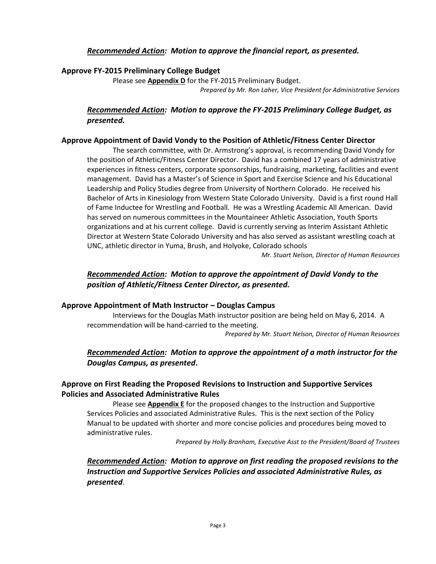# *Recommended Action: Motion to approve the financial report, as presented.*

### **Approve FY-2015 Preliminary College Budget**

Please see **Appendix D** for the FY-2015 Preliminary Budget. *Prepared by Mr. Ron Laher, Vice President for Administrative Services*

# *Recommended Action: Motion to approve the FY-2015 Preliminary College Budget, as presented.*

### **Approve Appointment of David Vondy to the Position of Athletic/Fitness Center Director**

The search committee, with Dr. Armstrong's approval, is recommending David Vondy for the position of Athletic/Fitness Center Director. David has a combined 17 years of administrative experiences in fitness centers, corporate sponsorships, fundraising, marketing, facilities and event management. David has a Master's of Science in Sport and Exercise Science and his Educational Leadership and Policy Studies degree from University of Northern Colorado. He received his Bachelor of Arts in Kinesiology from Western State Colorado University. David is a first round Hall of Fame Inductee for Wrestling and Football. He was a Wrestling Academic All American. David has served on numerous committees in the Mountaineer Athletic Association, Youth Sports organizations and at his current college. David is currently serving as Interim Assistant Athletic Director at Western State Colorado University and has also served as assistant wrestling coach at UNC, athletic director in Yuma, Brush, and Holyoke, Colorado schools

*Mr. Stuart Nelson, Director of Human Resources*

# *Recommended Action: Motion to approve the appointment of David Vondy to the position of Athletic/Fitness Center Director, as presented.*

### **Approve Appointment of Math Instructor – Douglas Campus**

Interviews for the Douglas Math instructor position are being held on May 6, 2014. A recommendation will be hand-carried to the meeting.

*Prepared by Mr. Stuart Nelson, Director of Human Resources*

# *Recommended Action: Motion to approve the appointment of a math instructor for the Douglas Campus, as presented***.**

# **Approve on First Reading the Proposed Revisions to Instruction and Supportive Services Policies and Associated Administrative Rules**

Please see **Appendix E** for the proposed changes to the Instruction and Supportive Services Policies and associated Administrative Rules. This is the next section of the Policy Manual to be updated with shorter and more concise policies and procedures being moved to administrative rules.

*Prepared by Holly Branham, Executive Asst to the President/Board of Trustees*

# *Recommended Action: Motion to approve on first reading the proposed revisions to the Instruction and Supportive Services Policies and associated Administrative Rules, as presented*.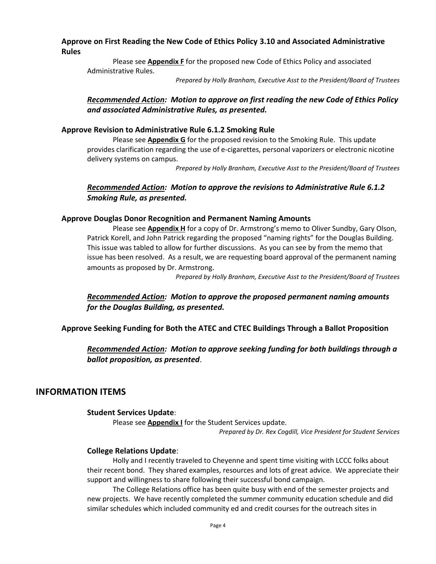# **Approve on First Reading the New Code of Ethics Policy 3.10 and Associated Administrative Rules**

Please see **Appendix F** for the proposed new Code of Ethics Policy and associated Administrative Rules.

*Prepared by Holly Branham, Executive Asst to the President/Board of Trustees*

# *Recommended Action: Motion to approve on first reading the new Code of Ethics Policy and associated Administrative Rules, as presented.*

### **Approve Revision to Administrative Rule 6.1.2 Smoking Rule**

Please see **Appendix G** for the proposed revision to the Smoking Rule. This update provides clarification regarding the use of e-cigarettes, personal vaporizers or electronic nicotine delivery systems on campus.

*Prepared by Holly Branham, Executive Asst to the President/Board of Trustees*

# *Recommended Action: Motion to approve the revisions to Administrative Rule 6.1.2 Smoking Rule, as presented.*

### **Approve Douglas Donor Recognition and Permanent Naming Amounts**

Please see **Appendix H** for a copy of Dr. Armstrong's memo to Oliver Sundby, Gary Olson, Patrick Korell, and John Patrick regarding the proposed "naming rights" for the Douglas Building. This issue was tabled to allow for further discussions. As you can see by from the memo that issue has been resolved. As a result, we are requesting board approval of the permanent naming amounts as proposed by Dr. Armstrong.

*Prepared by Holly Branham, Executive Asst to the President/Board of Trustees*

*Recommended Action: Motion to approve the proposed permanent naming amounts for the Douglas Building, as presented.*

# **Approve Seeking Funding for Both the ATEC and CTEC Buildings Through a Ballot Proposition**

*Recommended Action: Motion to approve seeking funding for both buildings through a ballot proposition, as presented*.

# **INFORMATION ITEMS**

### **Student Services Update**:

Please see **Appendix I** for the Student Services update.

*Prepared by Dr. Rex Cogdill, Vice President for Student Services*

# **College Relations Update**:

Holly and I recently traveled to Cheyenne and spent time visiting with LCCC folks about their recent bond. They shared examples, resources and lots of great advice. We appreciate their support and willingness to share following their successful bond campaign.

The College Relations office has been quite busy with end of the semester projects and new projects. We have recently completed the summer community education schedule and did similar schedules which included community ed and credit courses for the outreach sites in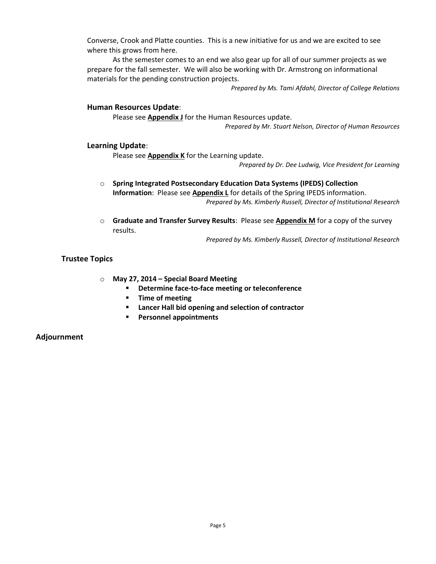Converse, Crook and Platte counties. This is a new initiative for us and we are excited to see where this grows from here.

As the semester comes to an end we also gear up for all of our summer projects as we prepare for the fall semester. We will also be working with Dr. Armstrong on informational materials for the pending construction projects.

*Prepared by Ms. Tami Afdahl, Director of College Relations*

### **Human Resources Update**:

Please see **Appendix J** for the Human Resources update.

*Prepared by Mr. Stuart Nelson, Director of Human Resources*

### **Learning Update**:

Please see **Appendix K** for the Learning update.

*Prepared by Dr. Dee Ludwig, Vice President for Learning*

- o **Spring Integrated Postsecondary Education Data Systems (IPEDS) Collection Information**: Please see **Appendix L** for details of the Spring IPEDS information. *Prepared by Ms. Kimberly Russell, Director of Institutional Research*
- o **Graduate and Transfer Survey Results**: Please see **Appendix M** for a copy of the survey results.

*Prepared by Ms. Kimberly Russell, Director of Institutional Research*

### **Trustee Topics**

### o **May 27, 2014 – Special Board Meeting**

- **Determine face-to-face meeting or teleconference**
- **F** Time of meeting
- **Lancer Hall bid opening and selection of contractor**
- **Personnel appointments**

### **Adjournment**